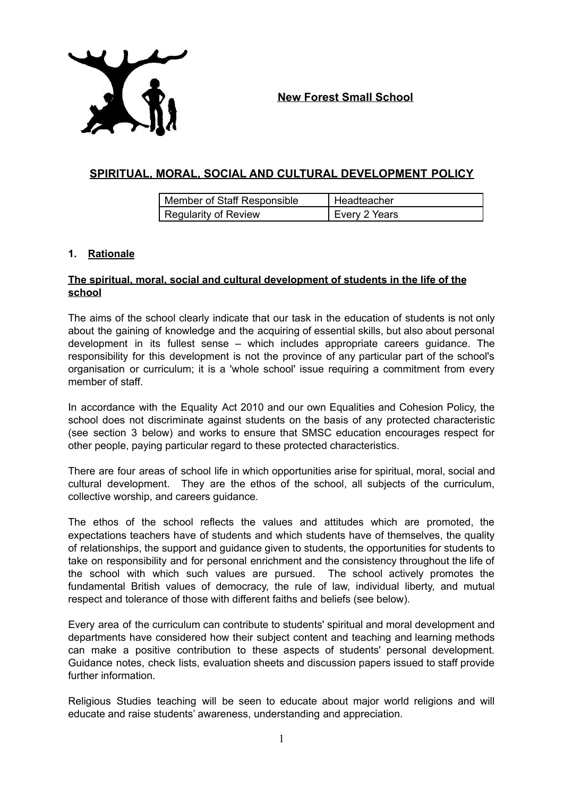

**New Forest Small School**

# **SPIRITUAL, MORAL, SOCIAL AND CULTURAL DEVELOPMENT POLICY**

| Member of Staff Responsible | Headteacher     |
|-----------------------------|-----------------|
| Regularity of Review        | ' Every 2 Years |

#### **1. Rationale**

### **The spiritual, moral, social and cultural development of students in the life of the school**

The aims of the school clearly indicate that our task in the education of students is not only about the gaining of knowledge and the acquiring of essential skills, but also about personal development in its fullest sense – which includes appropriate careers guidance. The responsibility for this development is not the province of any particular part of the school's organisation or curriculum; it is a 'whole school' issue requiring a commitment from every member of staff.

In accordance with the Equality Act 2010 and our own Equalities and Cohesion Policy, the school does not discriminate against students on the basis of any protected characteristic (see section 3 below) and works to ensure that SMSC education encourages respect for other people, paying particular regard to these protected characteristics.

There are four areas of school life in which opportunities arise for spiritual, moral, social and cultural development. They are the ethos of the school, all subjects of the curriculum, collective worship, and careers guidance.

The ethos of the school reflects the values and attitudes which are promoted, the expectations teachers have of students and which students have of themselves, the quality of relationships, the support and guidance given to students, the opportunities for students to take on responsibility and for personal enrichment and the consistency throughout the life of the school with which such values are pursued. The school actively promotes the fundamental British values of democracy, the rule of law, individual liberty, and mutual respect and tolerance of those with different faiths and beliefs (see below).

Every area of the curriculum can contribute to students' spiritual and moral development and departments have considered how their subject content and teaching and learning methods can make a positive contribution to these aspects of students' personal development. Guidance notes, check lists, evaluation sheets and discussion papers issued to staff provide further information.

Religious Studies teaching will be seen to educate about major world religions and will educate and raise students' awareness, understanding and appreciation.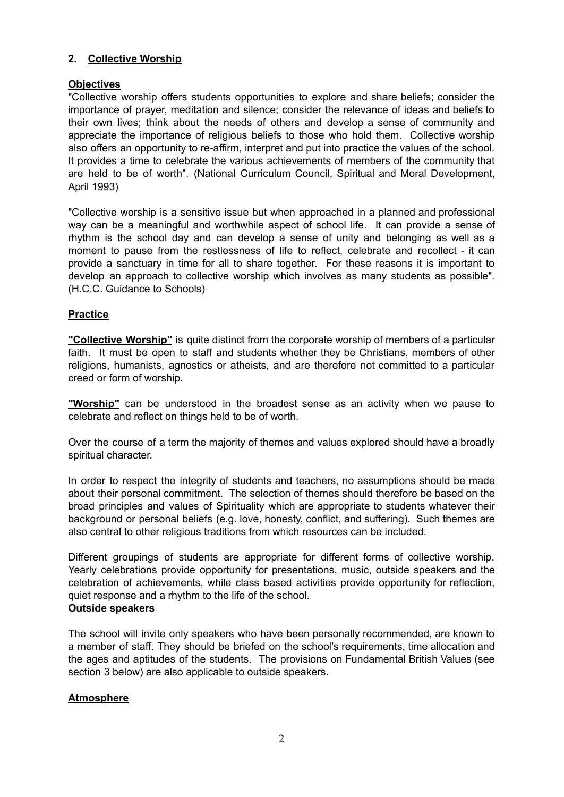### **2. Collective Worship**

### **Objectives**

"Collective worship offers students opportunities to explore and share beliefs; consider the importance of prayer, meditation and silence; consider the relevance of ideas and beliefs to their own lives; think about the needs of others and develop a sense of community and appreciate the importance of religious beliefs to those who hold them. Collective worship also offers an opportunity to re-affirm, interpret and put into practice the values of the school. It provides a time to celebrate the various achievements of members of the community that are held to be of worth". (National Curriculum Council, Spiritual and Moral Development, April 1993)

"Collective worship is a sensitive issue but when approached in a planned and professional way can be a meaningful and worthwhile aspect of school life. It can provide a sense of rhythm is the school day and can develop a sense of unity and belonging as well as a moment to pause from the restlessness of life to reflect, celebrate and recollect - it can provide a sanctuary in time for all to share together. For these reasons it is important to develop an approach to collective worship which involves as many students as possible". (H.C.C. Guidance to Schools)

### **Practice**

**"Collective Worship"** is quite distinct from the corporate worship of members of a particular faith. It must be open to staff and students whether they be Christians, members of other religions, humanists, agnostics or atheists, and are therefore not committed to a particular creed or form of worship.

**"Worship"** can be understood in the broadest sense as an activity when we pause to celebrate and reflect on things held to be of worth.

Over the course of a term the majority of themes and values explored should have a broadly spiritual character.

In order to respect the integrity of students and teachers, no assumptions should be made about their personal commitment. The selection of themes should therefore be based on the broad principles and values of Spirituality which are appropriate to students whatever their background or personal beliefs (e.g. love, honesty, conflict, and suffering). Such themes are also central to other religious traditions from which resources can be included.

Different groupings of students are appropriate for different forms of collective worship. Yearly celebrations provide opportunity for presentations, music, outside speakers and the celebration of achievements, while class based activities provide opportunity for reflection, quiet response and a rhythm to the life of the school.

### **Outside speakers**

The school will invite only speakers who have been personally recommended, are known to a member of staff. They should be briefed on the school's requirements, time allocation and the ages and aptitudes of the students. The provisions on Fundamental British Values (see section 3 below) are also applicable to outside speakers.

#### **Atmosphere**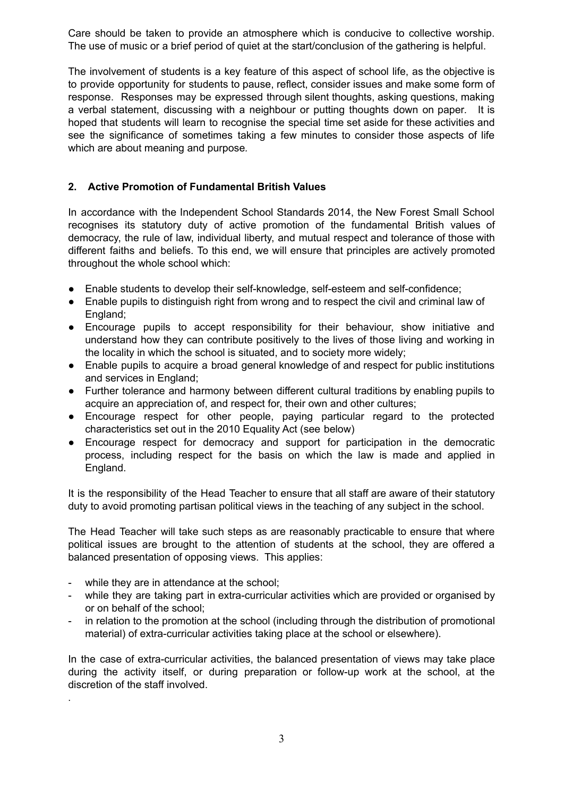Care should be taken to provide an atmosphere which is conducive to collective worship. The use of music or a brief period of quiet at the start/conclusion of the gathering is helpful.

The involvement of students is a key feature of this aspect of school life, as the objective is to provide opportunity for students to pause, reflect, consider issues and make some form of response. Responses may be expressed through silent thoughts, asking questions, making a verbal statement, discussing with a neighbour or putting thoughts down on paper*.* It is hoped that students will learn to recognise the special time set aside for these activities and see the significance of sometimes taking a few minutes to consider those aspects of life which are about meaning and purpose*.*

### **2. Active Promotion of Fundamental British Values**

In accordance with the Independent School Standards 2014, the New Forest Small School recognises its statutory duty of active promotion of the fundamental British values of democracy, the rule of law, individual liberty, and mutual respect and tolerance of those with different faiths and beliefs. To this end, we will ensure that principles are actively promoted throughout the whole school which:

- Enable students to develop their self-knowledge, self-esteem and self-confidence;
- Enable pupils to distinguish right from wrong and to respect the civil and criminal law of England;
- Encourage pupils to accept responsibility for their behaviour, show initiative and understand how they can contribute positively to the lives of those living and working in the locality in which the school is situated, and to society more widely;
- Enable pupils to acquire a broad general knowledge of and respect for public institutions and services in England;
- Further tolerance and harmony between different cultural traditions by enabling pupils to acquire an appreciation of, and respect for, their own and other cultures;
- Encourage respect for other people, paying particular regard to the protected characteristics set out in the 2010 Equality Act (see below)
- Encourage respect for democracy and support for participation in the democratic process, including respect for the basis on which the law is made and applied in England.

It is the responsibility of the Head Teacher to ensure that all staff are aware of their statutory duty to avoid promoting partisan political views in the teaching of any subject in the school.

The Head Teacher will take such steps as are reasonably practicable to ensure that where political issues are brought to the attention of students at the school, they are offered a balanced presentation of opposing views. This applies:

- while they are in attendance at the school;

.

- while they are taking part in extra-curricular activities which are provided or organised by or on behalf of the school;
- in relation to the promotion at the school (including through the distribution of promotional material) of extra-curricular activities taking place at the school or elsewhere).

In the case of extra-curricular activities, the balanced presentation of views may take place during the activity itself, or during preparation or follow-up work at the school, at the discretion of the staff involved.